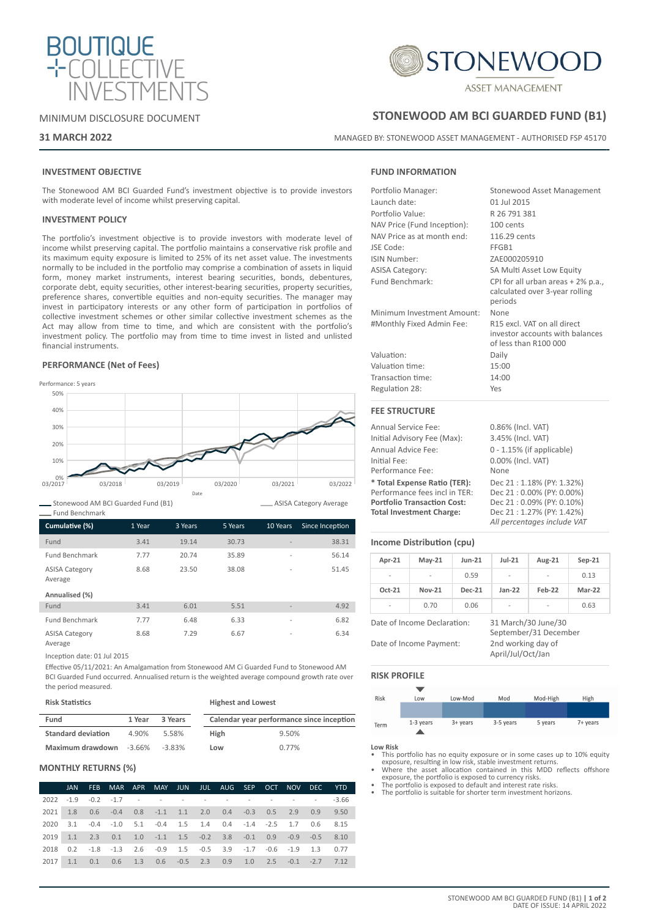



**STONEWOOD AM BCI GUARDED FUND (B1)**

MANAGED BY: STONEWOOD ASSET MANAGEMENT - AUTHORISED FSP 45170

### MINIMUM DISCLOSURE DOCUMENT

### **31 MARCH 2022**

## **FUND INFORMATION**

| Portfolio Manager:          | Stonewood Asset Management                                                              |
|-----------------------------|-----------------------------------------------------------------------------------------|
| Launch date:                | 01 Jul 2015                                                                             |
| Portfolio Value:            | R 26 791 381                                                                            |
| NAV Price (Fund Inception): | 100 cents                                                                               |
| NAV Price as at month end:  | 116.29 cents                                                                            |
| JSE Code:                   | FFGB1                                                                                   |
| ISIN Number:                | ZAE000205910                                                                            |
| <b>ASISA Category:</b>      | SA Multi Asset Low Equity                                                               |
| Fund Benchmark:             | CPI for all urban areas + 2% p.a.<br>calculated over 3-year rolling<br>periods          |
| Minimum Investment Amount:  | None                                                                                    |
| #Monthly Fixed Admin Fee:   | R15 excl. VAT on all direct<br>investor accounts with balances<br>of less than R100 000 |
| Valuation:                  | Daily                                                                                   |
| Valuation time:             | 15:00                                                                                   |
| Transaction time:           | 14:00                                                                                   |
| Regulation 28:              | Yes                                                                                     |
| <b>FEE STRUCTURE</b>        |                                                                                         |

| <b>Annual Service Fee:</b>         | 0.86% (Incl. VAT)            |
|------------------------------------|------------------------------|
| Initial Advisory Fee (Max):        | 3.45% (Incl. VAT)            |
| Annual Advice Fee:                 | $0 - 1.15\%$ (if applicable) |
| Initial Fee:                       | 0.00% (Incl. VAT)            |
| Performance Fee:                   | None                         |
| * Total Expense Ratio (TER):       | Dec 21: 1.18% (PY: 1.32%)    |
| Performance fees incl in TER:      | Dec 21:0.00% (PY: 0.00%)     |
| <b>Portfolio Transaction Cost:</b> | Dec 21:0.09% (PY: 0.10%)     |
| <b>Total Investment Charge:</b>    | Dec 21:1.27% (PY: 1.42%)     |
|                                    | All percentages include VAT  |

### **Income Distribution (cpu)**

| Apr-21                  | $May-21$                    | $l$ un-21     | $Jul-21$                                | Aug-21                                       | $Sep-21$      |
|-------------------------|-----------------------------|---------------|-----------------------------------------|----------------------------------------------|---------------|
|                         |                             | 0.59          | $\overline{\phantom{a}}$                | $\overline{a}$                               | 0.13          |
| $Oct-21$                | <b>Nov-21</b>               | <b>Dec-21</b> | $Jan-22$                                | Feb-22                                       | <b>Mar-22</b> |
|                         | 0.70                        | 0.06          | $\overline{a}$                          |                                              | 0.63          |
|                         | Date of Income Declaration: |               |                                         | 31 March/30 June/30<br>September/31 December |               |
| Date of Income Payment: |                             |               | 2nd working day of<br>April/Jul/Oct/Jan |                                              |               |

### **RISK PROFILE**

| Risk | Low         | Low-Mod    | Mod       | Mod-High | High     |
|------|-------------|------------|-----------|----------|----------|
|      |             |            |           |          |          |
| Term | $1-3$ years | $3+$ years | 3-5 years | 5 years  | 7+ years |

**Low Risk**

- This portfolio has no equity exposure or in some cases up to 10% equity
- exposure, resulting in low risk, stable investment returns. Where the asset allocation contained in this MDD reflects offshore exposure, the portfolio is exposed to currency risks. • The portfolio is exposed to default and interest rate risks.
- The portfolio is suitable for shorter term investment horizons.

# **INVESTMENT OBJECTIVE**

The Stonewood AM BCI Guarded Fund's investment objective is to provide investors with moderate level of income whilst preserving capital.

### **INVESTMENT POLICY**

The portfolio's investment objective is to provide investors with moderate level of income whilst preserving capital. The portfolio maintains a conservative risk profile and its maximum equity exposure is limited to 25% of its net asset value. The investments normally to be included in the portfolio may comprise a combination of assets in liquid form, money market instruments, interest bearing securities, bonds, debentures, corporate debt, equity securities, other interest-bearing securities, property securities, preference shares, convertible equities and non-equity securities. The manager may invest in participatory interests or any other form of participation in portfolios of collective investment schemes or other similar collective investment schemes as the Act may allow from time to time, and which are consistent with the portfolio's investment policy. The portfolio may from time to time invest in listed and unlisted financial instruments.

### **PERFORMANCE (Net of Fees)**



Stonewood AM BCI Guarded Fund (B1) Fund Benchmark

| Cumulative (%)                   | 1 Year | 3 Years | 5 Years | 10 Years                 | Since Inception |
|----------------------------------|--------|---------|---------|--------------------------|-----------------|
| Fund                             | 3.41   | 19.14   | 30.73   |                          | 38.31           |
| <b>Fund Benchmark</b>            | 7.77   | 20.74   | 35.89   | $\overline{\phantom{a}}$ | 56.14           |
| <b>ASISA Category</b><br>Average | 8.68   | 23.50   | 38.08   | $\overline{a}$           | 51.45           |
| Annualised (%)                   |        |         |         |                          |                 |
| Fund                             | 3.41   | 6.01    | 5.51    | $\overline{\phantom{a}}$ | 4.92            |
| <b>Fund Benchmark</b>            | 7.77   | 6.48    | 6.33    | $\overline{\phantom{a}}$ | 6.82            |
| <b>ASISA Category</b><br>Average | 8.68   | 7.29    | 6.67    | $\overline{a}$           | 6.34            |

Inception date: 01 Jul 2015

Effective 05/11/2021: An Amalgamation from Stonewood AM Ci Guarded Fund to Stonewood AM BCI Guarded Fund occurred. Annualised return is the weighted average compound growth rate over the period measured.

| <b>Risk Statistics</b>    |        |           | <b>Highest and Lowest</b> |                                           |  |  |
|---------------------------|--------|-----------|---------------------------|-------------------------------------------|--|--|
| Fund                      | 1 Year | 3 Years   |                           | Calendar year performance since inception |  |  |
| <b>Standard deviation</b> | 4.90%  | 5.58%     | High                      | 9.50%                                     |  |  |
| Maximum drawdown -3.66%   |        | $-3.83\%$ | Low                       | 0.77%                                     |  |  |

### **MONTHLY RETURNS (%)**

|      | <b>JAN</b>               | FEB. |                                                                                       | MAR APR MAY JUN JUL AUG SEP OCT NOV |        |                          |  |                 | DEC. | <b>YTD</b> |
|------|--------------------------|------|---------------------------------------------------------------------------------------|-------------------------------------|--------|--------------------------|--|-----------------|------|------------|
|      | $2022 - 1.9 - 0.2 - 1.7$ |      |                                                                                       | the company's company's company's   | $\sim$ | $\overline{\phantom{a}}$ |  |                 |      | $-3.66$    |
| 2021 |                          |      | 1.8 0.6 -0.4 0.8 -1.1 1.1 2.0 0.4 -0.3 0.5 2.9 0.9 9.50                               |                                     |        |                          |  |                 |      |            |
| 2020 |                          |      | 3.1 -0.4 -1.0 5.1 -0.4 1.5 1.4 0.4 -1.4 -2.5 1.7 0.6 8.15                             |                                     |        |                          |  |                 |      |            |
| 2019 |                          |      | $1.1$ $2.3$ $0.1$ $1.0$ $-1.1$ $1.5$ $-0.2$ $3.8$ $-0.1$ $0.9$ $-0.9$ $-0.5$          |                                     |        |                          |  |                 |      | 8.10       |
| 2018 |                          |      | $0.2$ $-1.8$ $-1.3$ $2.6$ $-0.9$ $1.5$ $-0.5$ $3.9$ $-1.7$ $-0.6$ $-1.9$ $1.3$ $0.77$ |                                     |        |                          |  |                 |      |            |
| 2017 | 1.1                      | 0.1  |                                                                                       | 0.6 1.3 0.6 -0.5 2.3 0.9 1.0        |        |                          |  | $2.5 -0.1 -2.7$ |      | 7.12       |